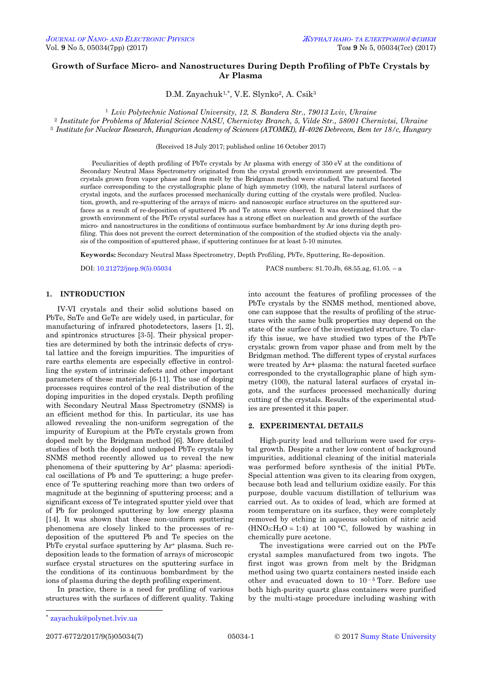# **Growth of Surface Micro- and Nanostructures During Depth Profiling of PbTe Crystals by Ar Plasma**

D.M. Zayachuk<sup>1,\*</sup>, V.E. Slynko<sup>2</sup>, A. Csik<sup>3</sup>

<sup>1</sup> *Lviv Polytechnic National University, 12, S. Bandera Str., 79013 Lviv, Ukraine* <sup>2</sup> *Institute for Problems of Material Science NASU, Chernivtsy Branch, 5, Vilde Str., 58001 Chernivtsi, Ukraine* <sup>3</sup> *Institute for Nuclear Research, Hungarian Academy of Sciences (ATOMKI), H-4026 Debrecen, Bem ter 18/c, Hungary*

(Received 18 July 2017; published online 16 October 2017)

Peculiarities of depth profiling of PbTe crystals by Ar plasma with energy of 350 eV at the conditions of Secondary Neutral Mass Spectrometry originated from the crystal growth environment are presented. The crystals grown from vapor phase and from melt by the Bridgman method were studied. The natural faceted surface corresponding to the crystallographic plane of high symmetry (100), the natural lateral surfaces of crystal ingots, and the surfaces processed mechanically during cutting of the crystals were profiled. Nucleation, growth, and re-sputtering of the arrays of micro- and nanoscopic surface structures on the sputtered surfaces as a result of re-deposition of sputtered Pb and Te atoms were observed. It was determined that the growth environment of the PbTe crystal surfaces has a strong effect on nucleation and growth of the surface micro- and nanostructures in the conditions of continuous surface bombardment by Ar ions during depth profiling. This does not prevent the correct determination of the composition of the studied objects via the analysis of the composition of sputtered phase, if sputtering continues for at least 5-10 minutes.

**Keywords:** Secondary Neutral Mass Spectrometry, Depth Profiling, PbTe, Sputtering, Re-deposition.

DOI[: 10.21272/jnep.9\(5\).05034](http://doi.org/10.21272/jnep.9(5).05034) PACS numbers: 81.70.Jb, 68.55.ag, 61.05. – a

## **1. INTRODUCTION**

IV-VI crystals and their solid solutions based on PbTe, SnTe and GeTe are widely used, in particular, for manufacturing of infrared photodetectors, lasers [1, 2], and spintronics structures [3-5]. Their physical properties are determined by both the intrinsic defects of crystal lattice and the foreign impurities. The impurities of rare earths elements are especially effective in controlling the system of intrinsic defects and other important parameters of these materials [6-11]. The use of doping processes requires control of the real distribution of the doping impurities in the doped crystals. Depth profiling with Secondary Neutral Mass Spectrometry (SNMS) is an efficient method for this. In particular, its use has allowed revealing the non-uniform segregation of the impurity of Europium at the PbTe crystals grown from doped melt by the Bridgman method [6]. More detailed studies of both the doped and undoped PbTe crystals by SNMS method recently allowed us to reveal the new phenomena of their sputtering by Ar<sup>+</sup> plasma: aperiodical oscillations of Pb and Te sputtering; a huge preference of Te sputtering reaching more than two orders of magnitude at the beginning of sputtering process; and a significant excess of Te integrated sputter yield over that of Pb for prolonged sputtering by low energy plasma [14]. It was shown that these non-uniform sputtering phenomena are closely linked to the processes of redeposition of the sputtered Pb and Te species on the PbTe crystal surface sputtering by  $Ar^+$  plasma. Such redeposition leads to the formation of arrays of microscopic surface crystal structures on the sputtering surface in the conditions of its continuous bombardment by the ions of plasma during the depth profiling experiment.

In practice, there is a need for profiling of various structures with the surfaces of different quality. Taking into account the features of profiling processes of the PbTe crystals by the SNMS method, mentioned above, one can suppose that the results of profiling of the structures with the same bulk properties may depend on the state of the surface of the investigated structure. To clarify this issue, we have studied two types of the PbTe crystals: grown from vapor phase and from melt by the Bridgman method. The different types of crystal surfaces were treated by Ar+ plasma: the natural faceted surface corresponded to the crystallographic plane of high symmetry (100), the natural lateral surfaces of crystal ingots, and the surfaces processed mechanically during cutting of the crystals. Results of the experimental studies are presented it this paper.

### **2. EXPERIMENTAL DETAILS**

High-purity lead and tellurium were used for crystal growth. Despite a rather low content of background impurities, additional cleaning of the initial materials was performed before synthesis of the initial PbTe. Special attention was given to its clearing from oxygen, because both lead and tellurium oxidize easily. For this purpose, double vacuum distillation of tellurium was carried out. As to oxides of lead, which are formed at room temperature on its surface, they were completely removed by etching in aqueous solution of nitric acid  $(HNO<sub>3</sub>:H<sub>2</sub>O = 1:4)$  at 100 °C, followed by washing in chemically pure acetone.

The investigations were carried out on the PbTe crystal samples manufactured from two ingots. The first ingot was grown from melt by the Bridgman method using two quartz containers nested inside each other and evacuated down to  $10^{-5}$  Torr. Before use both high-purity quartz glass containers were purified by the multi-stage procedure including washing with

 $\overline{a}$ 

<span id="page-0-3"></span><span id="page-0-2"></span><span id="page-0-1"></span><span id="page-0-0"></span>

<sup>\*</sup> zayachuk@polynet.lviv.ua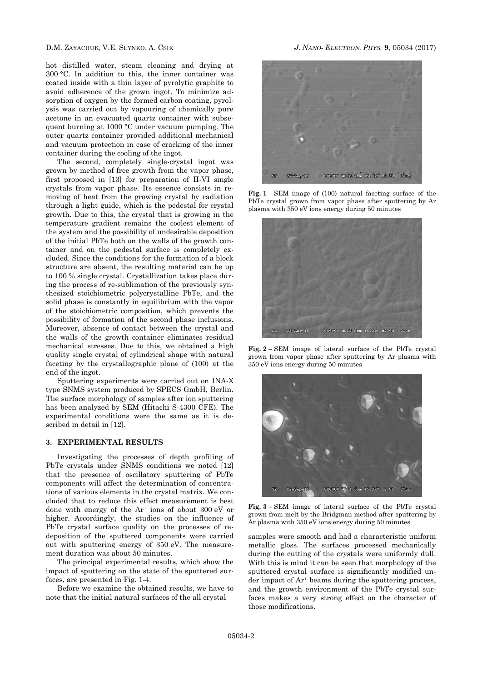hot distilled water, steam cleaning and drying at 300 °C. In addition to this, the inner container was coated inside with a thin layer of pyrolytic graphite to avoid adherence of the grown ingot. To minimize adsorption of oxygen by the formed carbon coating, pyrolysis was carried out by vapouring of chemically pure acetone in an evacuated quartz container with subsequent burning at 1000 °C under vacuum pumping. The outer quartz container provided additional mechanical and vacuum protection in case of cracking of the inner container during the cooling of the ingot.

The second, completely single-crystal ingot was grown by method of free growth from the vapor phase, first proposed in [13] for preparation of II-VI single crystals from vapor phase. Its essence consists in removing of heat from the growing crystal by radiation through a light guide, which is the pedestal for crystal growth. Due to this, the crystal that is growing in the temperature gradient remains the coolest element of the system and the possibility of undesirable deposition of the initial PbTe both on the walls of the growth container and on the pedestal surface is completely excluded. Since the conditions for the formation of a block structure are absent, the resulting material can be up to 100 % single crystal. Crystallization takes place during the process of re-sublimation of the previously synthesized stoichiometric polycrystalline PbTe, and the solid phase is constantly in equilibrium with the vapor of the stoichiometric composition, which prevents the possibility of formation of the second phase inclusions. Moreover, absence of contact between the crystal and the walls of the growth container eliminates residual mechanical stresses. Due to this, we obtained a high quality single crystal of cylindrical shape with natural faceting by the crystallographic plane of (100) at the end of the ingot.

Sputtering experiments were carried out on INA-X type SNMS system produced by SPECS GmbH, Berlin. The surface morphology of samples after ion sputtering has been analyzed by SEM (Hitachi S-4300 CFE). The experimental conditions were the same as it is described in detail in [12].

### **3. EXPERIMENTAL RESULTS**

Investigating the processes of depth profiling of PbTe crystals under SNMS conditions we noted [12] that the presence of oscillatory sputtering of PbTe components will affect the determination of concentrations of various elements in the crystal matrix. We concluded that to reduce this effect measurement is best done with energy of the Ar<sup>+</sup> ions of about 300 eV or higher. Accordingly, the studies on the influence of PbTe crystal surface quality on the processes of redeposition of the sputtered components were carried out with sputtering energy of 350 eV. The measurement duration was about 50 minutes.

The principal experimental results, which show the impact of sputtering on the state of the sputtered surfaces, are presented in Fig. 1-4.

Before we examine the obtained results, we have to note that the initial natural surfaces of the all crystal



**Fig. 1** – SEM image of (100) natural faceting surface of the PbTe crystal grown from vapor phase after sputtering by Ar plasma with 350 eV ions energy during 50 minutes



**Fig. 2** – SEM image of lateral surface of the PbTe crystal grown from vapor phase after sputtering by Ar plasma with 350 eV ions energy during 50 minutes



**Fig. 3** – SEM image of lateral surface of the PbTe crystal grown from melt by the Bridgman method after sputtering by Ar plasma with 350 eV ions energy during 50 minutes

samples were smooth and had a characteristic uniform metallic gloss. The surfaces processed mechanically during the cutting of the crystals were uniformly dull. With this is mind it can be seen that morphology of the sputtered crystal surface is significantly modified under impact of Ar<sup>+</sup> beams during the sputtering process, and the growth environment of the PbTe crystal surfaces makes a very strong effect on the character of those modifications.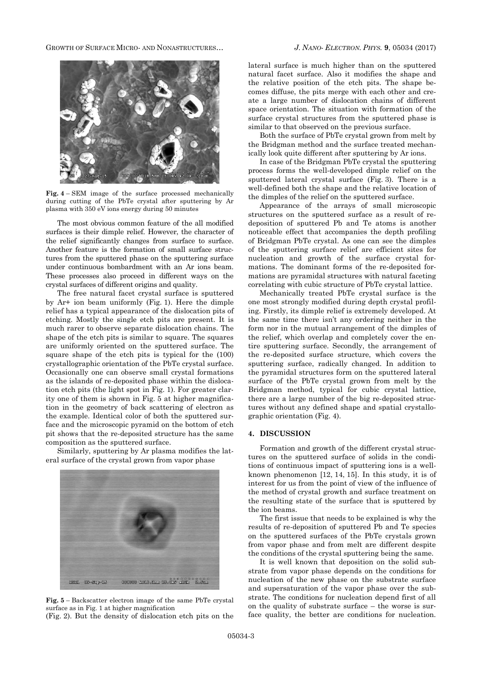GROWTH OF SURFACE MICRO- AND NONASTRUCTURES… *J. NANO- ELECTRON. PHYS.* **[9](#page-0-2)**, [05034](#page-0-2) [\(2017\)](#page-0-2)



**Fig. 4** – SEM image of the surface processed mechanically during cutting of the PbTe crystal after sputtering by Ar plasma with 350 eV ions energy during 50 minutes

The most obvious common feature of the all modified surfaces is their dimple relief. However, the character of the relief significantly changes from surface to surface. Another feature is the formation of small surface structures from the sputtered phase on the sputtering surface under continuous bombardment with an Ar ions beam. These processes also proceed in different ways on the crystal surfaces of different origins and quality.

The free natural facet crystal surface is sputtered by Ar+ ion beam uniformly (Fig. 1). Here the dimple relief has a typical appearance of the dislocation pits of etching. Mostly the single etch pits are present. It is much rarer to observe separate dislocation chains. The shape of the etch pits is similar to square. The squares are uniformly oriented on the sputtered surface. The square shape of the etch pits is typical for the (100) crystallographic orientation of the PbTe crystal surface. Occasionally one can observe small crystal formations as the islands of re-deposited phase within the dislocation etch pits (the light spot in Fig. 1). For greater clarity one of them is shown in Fig. 5 at higher magnification in the geometry of back scattering of electron as the example. Identical color of both the sputtered surface and the microscopic pyramid on the bottom of etch pit shows that the re-deposited structure has the same composition as the sputtered surface.

Similarly, sputtering by Ar plasma modifies the lateral surface of the crystal grown from vapor phase



**Fig. 5** – Backscatter electron image of the same PbTe crystal surface as in Fig. 1 at higher magnification

(Fig. 2). But the density of dislocation etch pits on the

lateral surface is much higher than on the sputtered natural facet surface. Also it modifies the shape and the relative position of the etch pits. The shape becomes diffuse, the pits merge with each other and create a large number of dislocation chains of different space orientation. The situation with formation of the surface crystal structures from the sputtered phase is similar to that observed on the previous surface.

Both the surface of PbTe crystal grown from melt by the Bridgman method and the surface treated mechanically look quite different after sputtering by Ar ions.

In case of the Bridgman PbTe crystal the sputtering process forms the well-developed dimple relief on the sputtered lateral crystal surface (Fig. 3). There is a well-defined both the shape and the relative location of the dimples of the relief on the sputtered surface.

Appearance of the arrays of small microscopic structures on the sputtered surface as a result of redeposition of sputtered Pb and Te atoms is another noticeable effect that accompanies the depth profiling of Bridgman PbTe crystal. As one can see the dimples of the sputtering surface relief are efficient sites for nucleation and growth of the surface crystal formations. The dominant forms of the re-deposited formations are pyramidal structures with natural faceting correlating with cubic structure of PbTe crystal lattice.

Mechanically treated PbTe crystal surface is the one most strongly modified during depth crystal profiling. Firstly, its dimple relief is extremely developed. At the same time there isn't any ordering neither in the form nor in the mutual arrangement of the dimples of the relief, which overlap and completely cover the entire sputtering surface. Secondly, the arrangement of the re-deposited surface structure, which covers the sputtering surface, radically changed. In addition to the pyramidal structures form on the sputtered lateral surface of the PbTe crystal grown from melt by the Bridgman method, typical for cubic crystal lattice, there are a large number of the big re-deposited structures without any defined shape and spatial crystallographic orientation (Fig. 4).

### **4. DISCUSSION**

Formation and growth of the different crystal structures on the sputtered surface of solids in the conditions of continuous impact of sputtering ions is a wellknown phenomenon [12, 14, 15]. In this study, it is of interest for us from the point of view of the influence of the method of crystal growth and surface treatment on the resulting state of the surface that is sputtered by the ion beams.

The first issue that needs to be explained is why the results of re-deposition of sputtered Pb and Te species on the sputtered surfaces of the PbTe crystals grown from vapor phase and from melt are different despite the conditions of the crystal sputtering being the same.

It is well known that deposition on the solid substrate from vapor phase depends on the conditions for nucleation of the new phase on the substrate surface and supersaturation of the vapor phase over the substrate. The conditions for nucleation depend first of all on the quality of substrate surface – the worse is surface quality, the better are conditions for nucleation.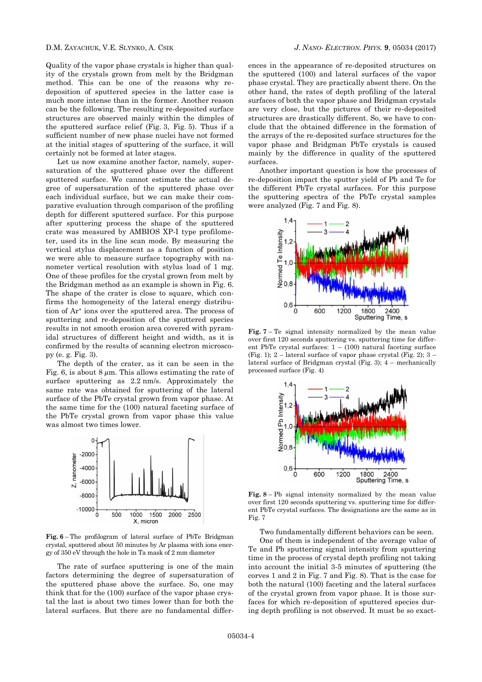Quality of the vapor phase crystals is higher than quality of the crystals grown from melt by the Bridgman method. This can be one of the reasons why redeposition of sputtered species in the latter case is much more intense than in the former. Another reason can be the following. The resulting re-deposited surface structures are observed mainly within the dimples of the sputtered surface relief (Fig. 3, Fig. 5). Thus if a sufficient number of new phase nuclei have not formed at the initial stages of sputtering of the surface, it will certainly not be formed at later stages.

Let us now examine another factor, namely, supersaturation of the sputtered phase over the different sputtered surface. We cannot estimate the actual degree of supersaturation of the sputtered phase over each individual surface, but we can make their comparative evaluation through comparison of the profiling depth for different sputtered surface. For this purpose after sputtering process the shape of the sputtered crate was measured by AMBIOS XP-I type profilometer, used its in the line scan mode. By measuring the vertical stylus displacement as a function of position we were able to measure surface topography with nanometer vertical resolution with stylus load of 1 mg. One of these profiles for the crystal grown from melt by the Bridgman method as an example is shown in Fig. 6. The shape of the crater is close to square, which confirms the homogeneity of the lateral energy distribution of Ar<sup>+</sup> ions over the sputtered area. The process of sputtering and re-deposition of the sputtered species results in not smooth erosion area covered with pyramidal structures of different height and width, as it is confirmed by the results of scanning electron microscopy (e. g. Fig. 3).

The depth of the crater, as it can be seen in the Fig. 6, is about 8  $\mu$ m. This allows estimating the rate of surface sputtering as 2.2 nm/s. Approximately the same rate was obtained for sputtering of the lateral surface of the PbTe crystal grown from vapor phase. At the same time for the (100) natural faceting surface of the PbTe crystal grown from vapor phase this value was almost two times lower.



**Fig. 6** – The profilogram of lateral surface of PbTe Bridgman crystal, sputtered about 50 minutes by Ar plasma with ions energy of 350 eV through the hole in Ta mask of 2 mm diameter

The rate of surface sputtering is one of the main factors determining the degree of supersaturation of the sputtered phase above the surface. So, one may think that for the (100) surface of the vapor phase crystal the last is about two times lower than for both the lateral surfaces. But there are no fundamental differ-

ences in the appearance of re-deposited structures on the sputtered (100) and lateral surfaces of the vapor phase crystal. They are practically absent there. On the other hand, the rates of depth profiling of the lateral surfaces of both the vapor phase and Bridgman crystals are very close, but the pictures of their re-deposited structures are drastically different. So, we have to conclude that the obtained difference in the formation of the arrays of the re-deposited surface structures for the vapor phase and Bridgman PbTe crystals is caused mainly by the difference in quality of the sputtered surfaces.

Another important question is how the processes of re-deposition impact the sputter yield of Pb and Te for the different PbTe crystal surfaces. For this purpose the sputtering spectra of the PbTe crystal samples were analyzed (Fig. 7 and Fig. 8).



**Fig. 7** – Te signal intensity normalized by the mean value over first 120 seconds sputtering vs. sputtering time for different PbTe crystal surfaces:  $1 - (100)$  natural faceting surface (Fig. 1); 2 – lateral surface of vapor phase crystal (Fig. 2);  $3$  – lateral surface of Bridgman crystal (Fig. 3); 4 – mechanically processed surface (Fig. 4)



**Fig. 8** – Pb signal intensity normalized by the mean value over first 120 seconds sputtering vs. sputtering time for different PbTe crystal surfaces. The designations are the same as in Fig. 7

Two fundamentally different behaviors can be seen.

One of them is independent of the average value of Te and Pb sputtering signal intensity from sputtering time in the process of crystal depth profiling not taking into account the initial 3-5 minutes of sputtering (the corves 1 and 2 in Fig. 7 and Fig. 8). That is the case for both the natural (100) faceting and the lateral surfaces of the crystal grown from vapor phase. It is those surfaces for which re-deposition of sputtered species during depth profiling is not observed. It must be so exact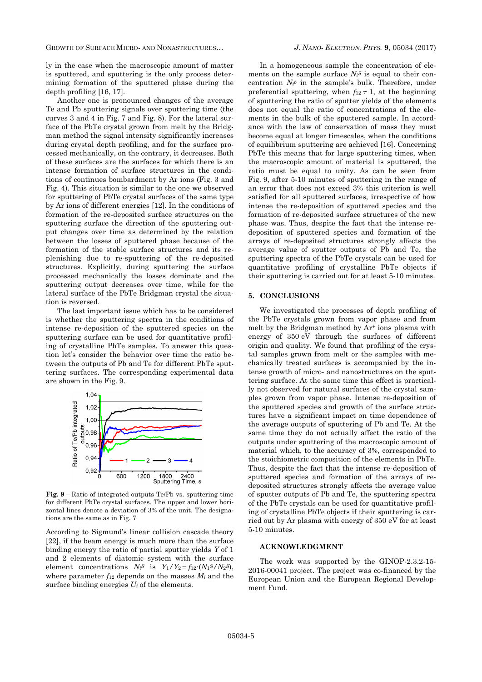GROWTH OF SURFACE MICRO- AND NONASTRUCTURES… *J. NANO- ELECTRON. PHYS.* **[9](#page-0-2)**, [05034](#page-0-2) [\(2017\)](#page-0-2)

ly in the case when the macroscopic amount of matter is sputtered, and sputtering is the only process determining formation of the sputtered phase during the depth profiling [16, 17].

Another one is pronounced changes of the average Te and Pb sputtering signals over sputtering time (the curves 3 and 4 in Fig. 7 and Fig. 8). For the lateral surface of the PbTe crystal grown from melt by the Bridgman method the signal intensity significantly increases during crystal depth profiling, and for the surface processed mechanically, on the contrary, it decreases. Both of these surfaces are the surfaces for which there is an intense formation of surface structures in the conditions of continues bombardment by Ar ions (Fig. 3 and Fig. 4). This situation is similar to the one we observed for sputtering of PbTe crystal surfaces of the same type by Ar ions of different energies [12]. In the conditions of formation of the re-deposited surface structures on the sputtering surface the direction of the sputtering output changes over time as determined by the relation between the losses of sputtered phase because of the formation of the stable surface structures and its replenishing due to re-sputtering of the re-deposited structures. Explicitly, during sputtering the surface processed mechanically the losses dominate and the sputtering output decreases over time, while for the lateral surface of the PbTe Bridgman crystal the situation is reversed.

The last important issue which has to be considered is whether the sputtering spectra in the conditions of intense re-deposition of the sputtered species on the sputtering surface can be used for quantitative profiling of crystalline PbTe samples. To answer this question let's consider the behavior over time the ratio between the outputs of Pb and Te for different PbTe sputtering surfaces. The corresponding experimental data are shown in the Fig. 9.



**Fig. 9** – Ratio of integrated outputs Te/Pb vs. sputtering time for different PbTe crystal surfaces. The upper and lower horizontal lines denote a deviation of 3% of the unit. The designations are the same as in Fig. 7

According to Sigmund's linear collision cascade theory [22], if the beam energy is much more than the surface binding energy the ratio of partial sputter yields *Y* of 1 and 2 elements of diatomic system with the surface element concentrations  $N_i$ <sup>S</sup> is  $Y_1/Y_2 = f_{12} \cdot (N_1 S/N_2 S)$ , where parameter  $f_{12}$  depends on the masses  $M_i$  and the surface binding energies  $U_i$  of the elements.

In a homogeneous sample the concentration of elements on the sample surface  $N_i$ <sup>S</sup> is equal to their concentration  $N_i^b$  in the sample's bulk. Therefore, under preferential sputtering, when  $f_{12} \neq 1$ , at the beginning of sputtering the ratio of sputter yields of the elements does not equal the ratio of concentrations of the elements in the bulk of the sputtered sample. In accordance with the law of conservation of mass they must become equal at longer timescales, when the conditions of equilibrium sputtering are achieved [16]. Concerning PbTe this means that for large sputtering times, when the macroscopic amount of material is sputtered, the ratio must be equal to unity. As can be seen from Fig. 9, after 5-10 minutes of sputtering in the range of an error that does not exceed 3% this criterion is well satisfied for all sputtered surfaces, irrespective of how intense the re-deposition of sputtered species and the formation of re-deposited surface structures of the new phase was. Thus, despite the fact that the intense redeposition of sputtered species and formation of the arrays of re-deposited structures strongly affects the average value of sputter outputs of Pb and Te, the sputtering spectra of the PbTe crystals can be used for quantitative profiling of crystalline PbTe objects if their sputtering is carried out for at least 5-10 minutes.

### **5. CONCLUSIONS**

We investigated the processes of depth profiling of the PbTe crystals grown from vapor phase and from melt by the Bridgman method by  $Ar^+$  ions plasma with energy of 350 eV through the surfaces of different origin and quality. We found that profiling of the crystal samples grown from melt or the samples with mechanically treated surfaces is accompanied by the intense growth of micro- and nanostructures on the sputtering surface. At the same time this effect is practically not observed for natural surfaces of the crystal samples grown from vapor phase. Intense re-deposition of the sputtered species and growth of the surface structures have a significant impact on time dependence of the average outputs of sputtering of Pb and Te. At the same time they do not actually affect the ratio of the outputs under sputtering of the macroscopic amount of material which, to the accuracy of 3%, corresponded to the stoichiometric composition of the elements in PbTe. Thus, despite the fact that the intense re-deposition of sputtered species and formation of the arrays of redeposited structures strongly affects the average value of sputter outputs of Pb and Te, the sputtering spectra of the PbTe crystals can be used for quantitative profiling of crystalline PbTe objects if their sputtering is carried out by Ar plasma with energy of 350 eV for at least 5-10 minutes.

### **ACKNOWLEDGMENT**

The work was supported by the GINOP-2.3.2-15- 2016-00041 project. The project was co-financed by the European Union and the European Regional Development Fund.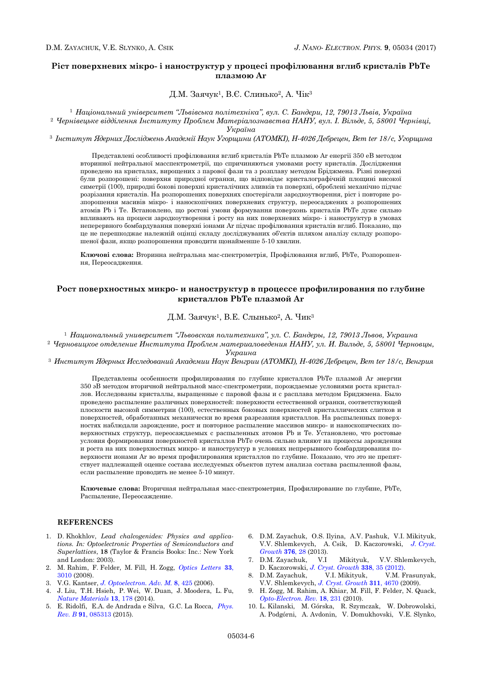## **Ріст поверхневих мікро- і наноструктур у процесі профілювання вглиб кристалів PbTe плазмою Ar**

Д.М. Заячук1, В.Є. Слинько2, А. Чік<sup>3</sup>

<sup>1</sup> *Національний університет "Львівська політехніка", вул. С. Бандери, 12, 79013 Львів, Україна*

<sup>2</sup> *Чернівецьке відділення Інституту Проблем Матеріалознавства НАНУ, вул. І. Вільде, 5, 58001 Чернівці, Україна*

<sup>3</sup> *Інститут Ядерних Досліджень Академії Наук Угорщини (ATOMKI), H-4026 Дебрецен, Bem ter 18/c, Угорщина*

Представлені особливості профілювання вглиб кристалів PbTe плазмою Ar енергії 350 еВ методом вторинної нейтральної масспектрометрії, що спричиняються умовами росту кристалів. Дослідження проведено на кристалах, вирощених з парової фази та з розплаву методом Бріджмена. Різні поверхні були розпорошені: поверхня природної огранки, що відповідає кристалографічній площині високої симетрії (100), природні бокові поверхні кристалічних зливків та поверхні, оброблені механічно підчас розрізання кристалів. На розпорошених поверхнях спостерігали зародкоутворення, ріст і повторне розпорошення масивів мікро- і наноскопічних поверхневих структур, переосаджених з розпорошених атомів Pb і Te. Встановлено, що ростові умови формування поверхонь кристалів PbTe дуже сильно впливають на процеси зародкоутворення і росту на них поверхневих мікро- і наноструктур в умовах неперервного бомбардування поверхні іонами Ar підчас профілювання кристалів вглиб. Показано, що це не перешкоджає належній оцінці складу досліджуваних об'єктів шляхом аналізу складу розпорошеної фази, якщо розпорошення проводити щонайменше 5-10 хвилин.

**Ключові слова:** Вторинна нейтральна мас-спектрометрія, Профілювання вглиб, PbTe, Розпорошення, Переосадження.

# **Рост поверхностных микро- и наноструктур в процессе профилирования по глубине кристаллов PbTe плазмой Ar**

Д.М. Заячук1, В.Е. Слынько2, А. Чик<sup>3</sup>

<sup>1</sup> *Национальный университет "Львовская политехника", ул. С. Бандеры, 12, 79013 Львов, Украина*

<sup>2</sup> *Черновицкое отделение Института Проблем материаловедения НАНУ, ул. И. Вильде, 5, 58001 Черновцы, Украина*

<sup>3</sup> *Институт Ядерных Исследований Академии Наук Венгрии (ATOMKI), H-4026 Дебрецен, Bem ter 18/c, Венгрия*

Представлены особенности профилирования по глубине кристаллов PbTe плазмой Ar энергии 350 эВ методом вторичной нейтральной масс-спектрометрии, порождаемые условиями роста кристаллов. Исследованы кристаллы, выращенные с паровой фазы и с расплава методом Бриджмена. Было проведено распыление различных поверхностей: поверхности естественной огранки, соответствующей плоскости высокой симметрии (100), естественных боковых поверхностей кристаллических слитков и поверхностей, обработанных механически во время разрезания кристаллов. На распыленных поверхностях наблюдали зарождение, рост и повторное распыление массивов микро- и наноскопических поверхностных структур, переосаждаемых с распыленных атомов Pb и Te. Установлено, что ростовые условия формирования поверхностей кристаллов PbTe очень сильно влияют на процессы зарождения и роста на них поверхностных микро- и наноструктур в условиях непрерывного бомбардирования поверхности ионами Ar во время профилирования кристаллов по глубине. Показано, что это не препятствует надлежащей оценке состава исследуемых объектов путем анализа состава распыленной фазы, если распыление проводить не менее 5-10 минут.

**Ключевые слова:** Вторичная нейтральная масс-спектрометрия, Профилирование по глубине, PbTe, Распыление, Переосаждение.

## **REFERENCES**

- 1. D. Khokhlov, *Lead chalcogenides: Physics and applications. In: Optoelectronic Properties of Semiconductors and Superlattices*, **18** (Taylor & Francis Books: Inc.: New York and London: 2003).
- 2. M. Rahim, F. Felder, M. Fill, H. Zogg, *[Optics Letters](https://doi.org/10.1364/OL.33.003010)* **33**, [3010](https://doi.org/10.1364/OL.33.003010) (2008).
- 3. V.G. Kantser, *[J. Optoelectron. Adv. M.](https://joam.inoe.ro/arhiva/pdf8_2/Kantser1.pdf)* **8**, 425 (2006).
- 4. J. Liu, T.H. Hsieh, P. Wei, W. Duan, J. Moodera, L. Fu, *[Nature Materials](https://doi.org/10.1038/nmat3828)* **13**, 178 (2014).
- 5. E. Ridolfi, E.A. de Andrada e Silva, G.C. La Rocca, *[Phys.](https://doi.org/10.1103/PhysRevB.91.085313)  Rev. B* **91**[, 085313](https://doi.org/10.1103/PhysRevB.91.085313) (2015).
- 6. D.M. Zayachuk, O.S. Ilyina, A.V. Pashuk, V.I. Mikityuk, V.V. Shlemkevych, A. Csik, D. Kaczorowski, *J. [Cryst.](https://doi.org/10.1016/j.jcrysgro.2013.04.039)  [Growth](https://doi.org/10.1016/j.jcrysgro.2013.04.039)* **376**, 28 (2013).
- 7. D.M. Zayachuk, V.I Mikityuk, V.V. Shlemkevych, D. Kaczorowski, *[J. Cryst. Growth](https://doi.org/10.1016/j.jcrysgro.2011.09.058)* **338**, 35 (2012).
- 8. D.M. Zayachuk, V.I. Mikityuk, V.M. Frasunyak, V.V. Shlemkevych, *[J. Cryst. Growth](https://doi.org/10.1016/j.jcrysgro.2009.09.009)* **311**, 4670 (2009).
- 9. H. Zogg, M. Rahim, A. Khiar, M. Fill, F. Felder, N. Quack, *[Opto-Electron. Rev.](https://doi.org/10.2478/s11772-010-1028-5)* **18**, 231 (2010).
- 10. L. Kilanski, M. Górska, R. Szymczak, W. Dobrowolski, A. Podgórni, A. Avdonin, V. Domukhovski, V.E. Slynko,